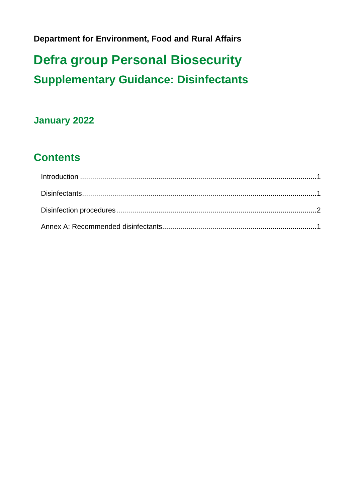**Department for Environment, Food and Rural Affairs**

# **Defra group Personal Biosecurity Supplementary Guidance: Disinfectants**

#### **January 2022**

## **Contents**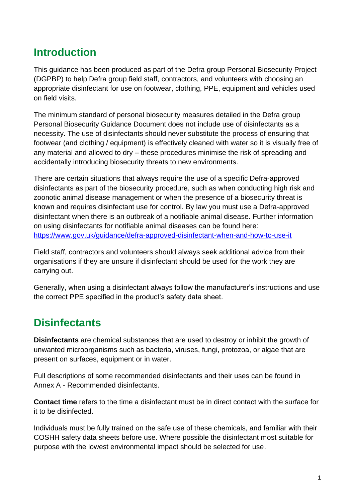#### <span id="page-1-0"></span>**Introduction**

This guidance has been produced as part of the Defra group Personal Biosecurity Project (DGPBP) to help Defra group field staff, contractors, and volunteers with choosing an appropriate disinfectant for use on footwear, clothing, PPE, equipment and vehicles used on field visits.

The minimum standard of personal biosecurity measures detailed in the Defra group Personal Biosecurity Guidance Document does not include use of disinfectants as a necessity. The use of disinfectants should never substitute the process of ensuring that footwear (and clothing / equipment) is effectively cleaned with water so it is visually free of any material and allowed to dry – these procedures minimise the risk of spreading and accidentally introducing biosecurity threats to new environments.

There are certain situations that always require the use of a specific Defra-approved disinfectants as part of the biosecurity procedure, such as when conducting high risk and zoonotic animal disease management or when the presence of a biosecurity threat is known and requires disinfectant use for control. By law you must use a Defra-approved disinfectant when there is an outbreak of a notifiable animal disease. Further information on using disinfectants for notifiable animal diseases can be found here: <https://www.gov.uk/guidance/defra-approved-disinfectant-when-and-how-to-use-it>

Field staff, contractors and volunteers should always seek additional advice from their organisations if they are unsure if disinfectant should be used for the work they are carrying out.

Generally, when using a disinfectant always follow the manufacturer's instructions and use the correct PPE specified in the product's safety data sheet.

## <span id="page-1-1"></span>**Disinfectants**

**Disinfectants** are chemical substances that are used to destroy or inhibit the growth of unwanted microorganisms such as bacteria, viruses, fungi, protozoa, or algae that are present on surfaces, equipment or in water.

Full descriptions of some recommended disinfectants and their uses can be found in Annex A - Recommended disinfectants.

**Contact time** refers to the time a disinfectant must be in direct contact with the surface for it to be disinfected.

Individuals must be fully trained on the safe use of these chemicals, and familiar with their COSHH safety data sheets before use. Where possible the disinfectant most suitable for purpose with the lowest environmental impact should be selected for use.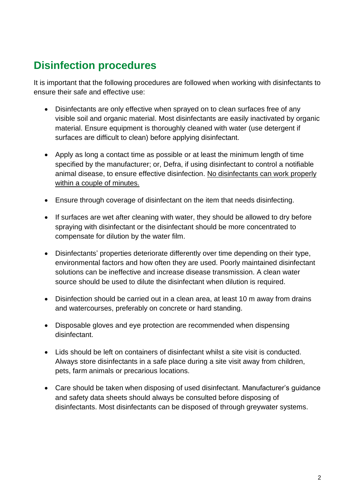### <span id="page-2-0"></span>**Disinfection procedures**

It is important that the following procedures are followed when working with disinfectants to ensure their safe and effective use:

- Disinfectants are only effective when sprayed on to clean surfaces free of any visible soil and organic material. Most disinfectants are easily inactivated by organic material. Ensure equipment is thoroughly cleaned with water (use detergent if surfaces are difficult to clean) before applying disinfectant.
- Apply as long a contact time as possible or at least the minimum length of time specified by the manufacturer; or, Defra, if using disinfectant to control a notifiable animal disease, to ensure effective disinfection. No disinfectants can work properly within a couple of minutes.
- Ensure through coverage of disinfectant on the item that needs disinfecting.
- If surfaces are wet after cleaning with water, they should be allowed to dry before spraying with disinfectant or the disinfectant should be more concentrated to compensate for dilution by the water film.
- Disinfectants' properties deteriorate differently over time depending on their type, environmental factors and how often they are used. Poorly maintained disinfectant solutions can be ineffective and increase disease transmission. A clean water source should be used to dilute the disinfectant when dilution is required.
- Disinfection should be carried out in a clean area, at least 10 m away from drains and watercourses, preferably on concrete or hard standing.
- Disposable gloves and eye protection are recommended when dispensing disinfectant.
- Lids should be left on containers of disinfectant whilst a site visit is conducted. Always store disinfectants in a safe place during a site visit away from children, pets, farm animals or precarious locations.
- Care should be taken when disposing of used disinfectant. Manufacturer's guidance and safety data sheets should always be consulted before disposing of disinfectants. Most disinfectants can be disposed of through greywater systems.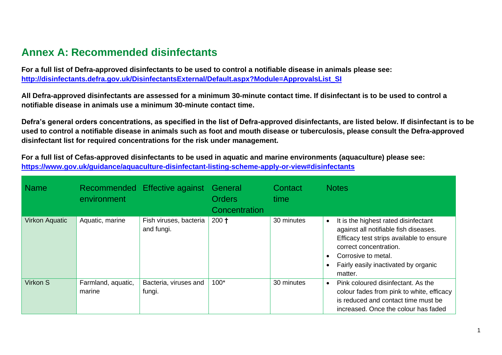#### **Annex A: Recommended disinfectants**

**For a full list of Defra-approved disinfectants to be used to control a notifiable disease in animals please see: [http://disinfectants.defra.gov.uk/DisinfectantsExternal/Default.aspx?Module=ApprovalsList\\_SI](http://disinfectants.defra.gov.uk/DisinfectantsExternal/Default.aspx?Module=ApprovalsList_SI)**

**All Defra-approved disinfectants are assessed for a minimum 30-minute contact time. If disinfectant is to be used to control a notifiable disease in animals use a minimum 30-minute contact time.** 

**Defra's general orders concentrations, as specified in the list of Defra-approved disinfectants, are listed below. If disinfectant is to be used to control a notifiable disease in animals such as foot and mouth disease or tuberculosis, please consult the Defra-approved disinfectant list for required concentrations for the risk under management.**

**For a full list of Cefas-approved disinfectants to be used in aquatic and marine environments (aquaculture) please see: <https://www.gov.uk/guidance/aquaculture-disinfectant-listing-scheme-apply-or-view#disinfectants>**

<span id="page-3-0"></span>

| <b>Name</b>           | environment                  | Recommended Effective against        | General<br><b>Orders</b><br>Concentration | Contact<br>time | <b>Notes</b>                                                                                                                                                                                                                               |
|-----------------------|------------------------------|--------------------------------------|-------------------------------------------|-----------------|--------------------------------------------------------------------------------------------------------------------------------------------------------------------------------------------------------------------------------------------|
| <b>Virkon Aquatic</b> | Aquatic, marine              | Fish viruses, bacteria<br>and fungi. | $200 +$                                   | 30 minutes      | It is the highest rated disinfectant<br>$\bullet$<br>against all notifiable fish diseases.<br>Efficacy test strips available to ensure<br>correct concentration.<br>Corrosive to metal.<br>Fairly easily inactivated by organic<br>matter. |
| Virkon S              | Farmland, aquatic,<br>marine | Bacteria, viruses and<br>fungi.      | $100*$                                    | 30 minutes      | Pink coloured disinfectant. As the<br>$\bullet$<br>colour fades from pink to white, efficacy<br>is reduced and contact time must be<br>increased. Once the colour has faded                                                                |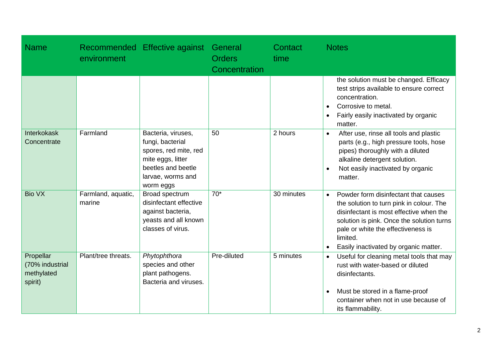| <b>Name</b>                                           | environment                  | Recommended Effective against                                                                                                                | General<br><b>Orders</b><br>Concentration | Contact<br>time | <b>Notes</b>                                                                                                                                                                                                                                                                     |
|-------------------------------------------------------|------------------------------|----------------------------------------------------------------------------------------------------------------------------------------------|-------------------------------------------|-----------------|----------------------------------------------------------------------------------------------------------------------------------------------------------------------------------------------------------------------------------------------------------------------------------|
|                                                       |                              |                                                                                                                                              |                                           |                 | the solution must be changed. Efficacy<br>test strips available to ensure correct<br>concentration.<br>Corrosive to metal.<br>$\bullet$<br>Fairly easily inactivated by organic<br>$\bullet$<br>matter.                                                                          |
| Interkokask<br>Concentrate                            | Farmland                     | Bacteria, viruses,<br>fungi, bacterial<br>spores, red mite, red<br>mite eggs, litter<br>beetles and beetle<br>larvae, worms and<br>worm eggs | 50                                        | 2 hours         | After use, rinse all tools and plastic<br>$\bullet$<br>parts (e.g., high pressure tools, hose<br>pipes) thoroughly with a diluted<br>alkaline detergent solution.<br>Not easily inactivated by organic<br>matter.                                                                |
| <b>Bio VX</b>                                         | Farmland, aquatic,<br>marine | Broad spectrum<br>disinfectant effective<br>against bacteria,<br>yeasts and all known<br>classes of virus.                                   | $70*$                                     | 30 minutes      | Powder form disinfectant that causes<br>$\bullet$<br>the solution to turn pink in colour. The<br>disinfectant is most effective when the<br>solution is pink. Once the solution turns<br>pale or white the effectiveness is<br>limited.<br>Easily inactivated by organic matter. |
| Propellar<br>(70% industrial<br>methylated<br>spirit) | Plant/tree threats.          | Phytophthora<br>species and other<br>plant pathogens.<br>Bacteria and viruses.                                                               | Pre-diluted                               | 5 minutes       | Useful for cleaning metal tools that may<br>$\bullet$<br>rust with water-based or diluted<br>disinfectants.<br>Must be stored in a flame-proof<br>$\bullet$<br>container when not in use because of<br>its flammability.                                                         |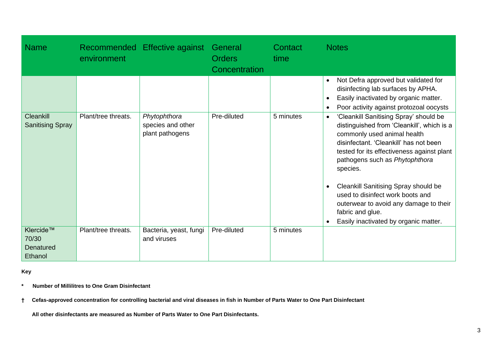| <b>Name</b>                                 | environment         | Recommended Effective against         | General<br><b>Orders</b><br>Concentration | Contact<br>time | <b>Notes</b>                                                                                                                                                                                                                                                                                  |
|---------------------------------------------|---------------------|---------------------------------------|-------------------------------------------|-----------------|-----------------------------------------------------------------------------------------------------------------------------------------------------------------------------------------------------------------------------------------------------------------------------------------------|
| <b>Cleankill</b><br><b>Sanitising Spray</b> | Plant/tree threats. | Phytophthora<br>species and other     | Pre-diluted                               | 5 minutes       | Not Defra approved but validated for<br>$\bullet$<br>disinfecting lab surfaces by APHA.<br>Easily inactivated by organic matter.<br>$\bullet$<br>Poor activity against protozoal oocysts<br>'Cleankill Sanitising Spray' should be<br>$\bullet$<br>distinguished from 'Cleankill', which is a |
|                                             |                     | plant pathogens                       |                                           |                 | commonly used animal health<br>disinfectant. 'Cleankill' has not been<br>tested for its effectiveness against plant<br>pathogens such as Phytophthora<br>species.                                                                                                                             |
|                                             |                     |                                       |                                           |                 | Cleankill Sanitising Spray should be<br>used to disinfect work boots and<br>outerwear to avoid any damage to their<br>fabric and glue.<br>Easily inactivated by organic matter.                                                                                                               |
| Klercide™<br>70/30<br>Denatured<br>Ethanol  | Plant/tree threats. | Bacteria, yeast, fungi<br>and viruses | Pre-diluted                               | 5 minutes       |                                                                                                                                                                                                                                                                                               |

**Key** 

**\* Number of Millilitres to One Gram Disinfectant**

**† Cefas-approved concentration for controlling bacterial and viral diseases in fish in Number of Parts Water to One Part Disinfectant**

 **All other disinfectants are measured as Number of Parts Water to One Part Disinfectants.**